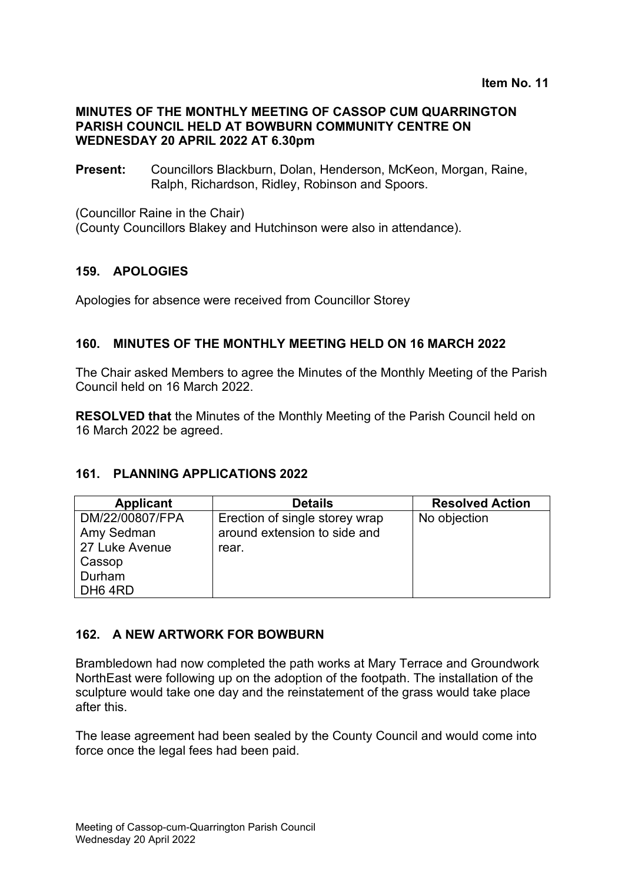#### **MINUTES OF THE MONTHLY MEETING OF CASSOP CUM QUARRINGTON PARISH COUNCIL HELD AT BOWBURN COMMUNITY CENTRE ON WEDNESDAY 20 APRIL 2022 AT 6.30pm**

**Present:** Councillors Blackburn, Dolan, Henderson, McKeon, Morgan, Raine, Ralph, Richardson, Ridley, Robinson and Spoors.

(Councillor Raine in the Chair)

(County Councillors Blakey and Hutchinson were also in attendance).

### **159. APOLOGIES**

Apologies for absence were received from Councillor Storey

### **160. MINUTES OF THE MONTHLY MEETING HELD ON 16 MARCH 2022**

The Chair asked Members to agree the Minutes of the Monthly Meeting of the Parish Council held on 16 March 2022.

**RESOLVED that** the Minutes of the Monthly Meeting of the Parish Council held on 16 March 2022 be agreed.

#### **161. PLANNING APPLICATIONS 2022**

| <b>Applicant</b>    | <b>Details</b>                 | <b>Resolved Action</b> |
|---------------------|--------------------------------|------------------------|
| DM/22/00807/FPA     | Erection of single storey wrap | No objection           |
| Amy Sedman          | around extension to side and   |                        |
| 27 Luke Avenue      | rear.                          |                        |
| Cassop              |                                |                        |
| Durham              |                                |                        |
| DH <sub>6</sub> 4RD |                                |                        |

#### **162. A NEW ARTWORK FOR BOWBURN**

Brambledown had now completed the path works at Mary Terrace and Groundwork NorthEast were following up on the adoption of the footpath. The installation of the sculpture would take one day and the reinstatement of the grass would take place after this.

The lease agreement had been sealed by the County Council and would come into force once the legal fees had been paid.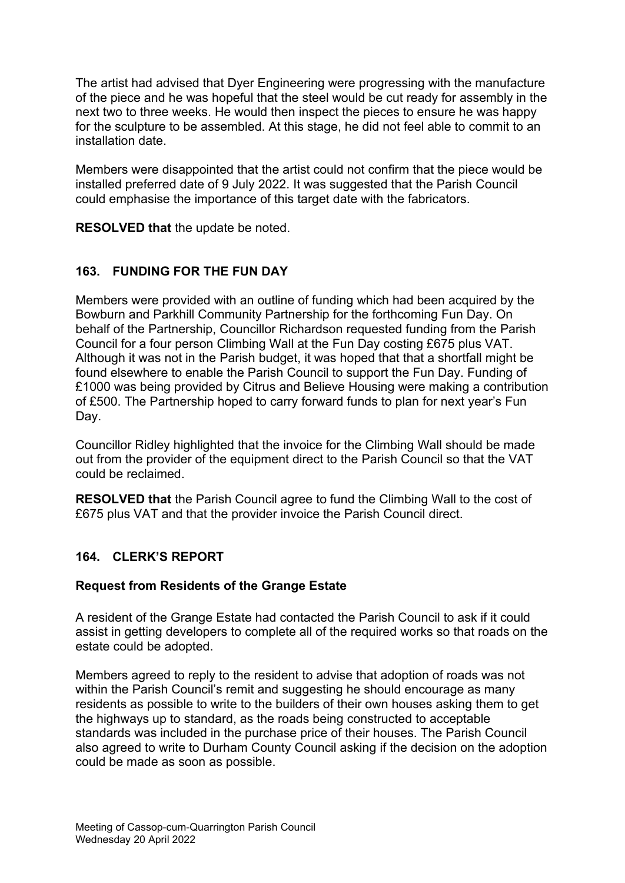The artist had advised that Dyer Engineering were progressing with the manufacture of the piece and he was hopeful that the steel would be cut ready for assembly in the next two to three weeks. He would then inspect the pieces to ensure he was happy for the sculpture to be assembled. At this stage, he did not feel able to commit to an installation date.

Members were disappointed that the artist could not confirm that the piece would be installed preferred date of 9 July 2022. It was suggested that the Parish Council could emphasise the importance of this target date with the fabricators.

**RESOLVED that** the update be noted.

## **163. FUNDING FOR THE FUN DAY**

Members were provided with an outline of funding which had been acquired by the Bowburn and Parkhill Community Partnership for the forthcoming Fun Day. On behalf of the Partnership, Councillor Richardson requested funding from the Parish Council for a four person Climbing Wall at the Fun Day costing £675 plus VAT. Although it was not in the Parish budget, it was hoped that that a shortfall might be found elsewhere to enable the Parish Council to support the Fun Day. Funding of £1000 was being provided by Citrus and Believe Housing were making a contribution of £500. The Partnership hoped to carry forward funds to plan for next year's Fun Day.

Councillor Ridley highlighted that the invoice for the Climbing Wall should be made out from the provider of the equipment direct to the Parish Council so that the VAT could be reclaimed.

**RESOLVED that** the Parish Council agree to fund the Climbing Wall to the cost of £675 plus VAT and that the provider invoice the Parish Council direct.

## **164. CLERK'S REPORT**

#### **Request from Residents of the Grange Estate**

A resident of the Grange Estate had contacted the Parish Council to ask if it could assist in getting developers to complete all of the required works so that roads on the estate could be adopted.

Members agreed to reply to the resident to advise that adoption of roads was not within the Parish Council's remit and suggesting he should encourage as many residents as possible to write to the builders of their own houses asking them to get the highways up to standard, as the roads being constructed to acceptable standards was included in the purchase price of their houses. The Parish Council also agreed to write to Durham County Council asking if the decision on the adoption could be made as soon as possible.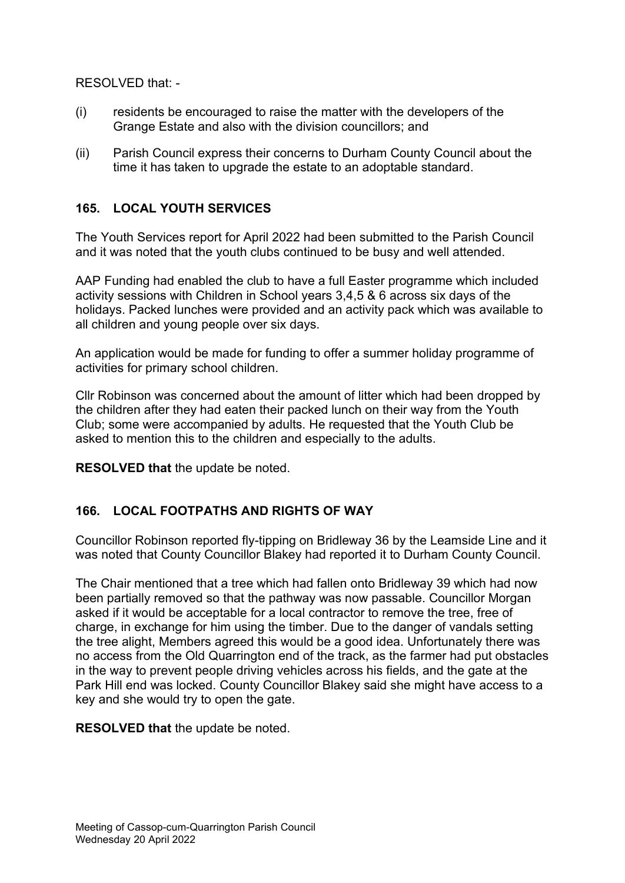RESOLVED that: -

- (i) residents be encouraged to raise the matter with the developers of the Grange Estate and also with the division councillors; and
- (ii) Parish Council express their concerns to Durham County Council about the time it has taken to upgrade the estate to an adoptable standard.

## **165. LOCAL YOUTH SERVICES**

The Youth Services report for April 2022 had been submitted to the Parish Council and it was noted that the youth clubs continued to be busy and well attended.

AAP Funding had enabled the club to have a full Easter programme which included activity sessions with Children in School years 3,4,5 & 6 across six days of the holidays. Packed lunches were provided and an activity pack which was available to all children and young people over six days.

An application would be made for funding to offer a summer holiday programme of activities for primary school children.

Cllr Robinson was concerned about the amount of litter which had been dropped by the children after they had eaten their packed lunch on their way from the Youth Club; some were accompanied by adults. He requested that the Youth Club be asked to mention this to the children and especially to the adults.

**RESOLVED that** the update be noted.

## **166. LOCAL FOOTPATHS AND RIGHTS OF WAY**

Councillor Robinson reported fly-tipping on Bridleway 36 by the Leamside Line and it was noted that County Councillor Blakey had reported it to Durham County Council.

The Chair mentioned that a tree which had fallen onto Bridleway 39 which had now been partially removed so that the pathway was now passable. Councillor Morgan asked if it would be acceptable for a local contractor to remove the tree, free of charge, in exchange for him using the timber. Due to the danger of vandals setting the tree alight, Members agreed this would be a good idea. Unfortunately there was no access from the Old Quarrington end of the track, as the farmer had put obstacles in the way to prevent people driving vehicles across his fields, and the gate at the Park Hill end was locked. County Councillor Blakey said she might have access to a key and she would try to open the gate.

**RESOLVED that** the update be noted.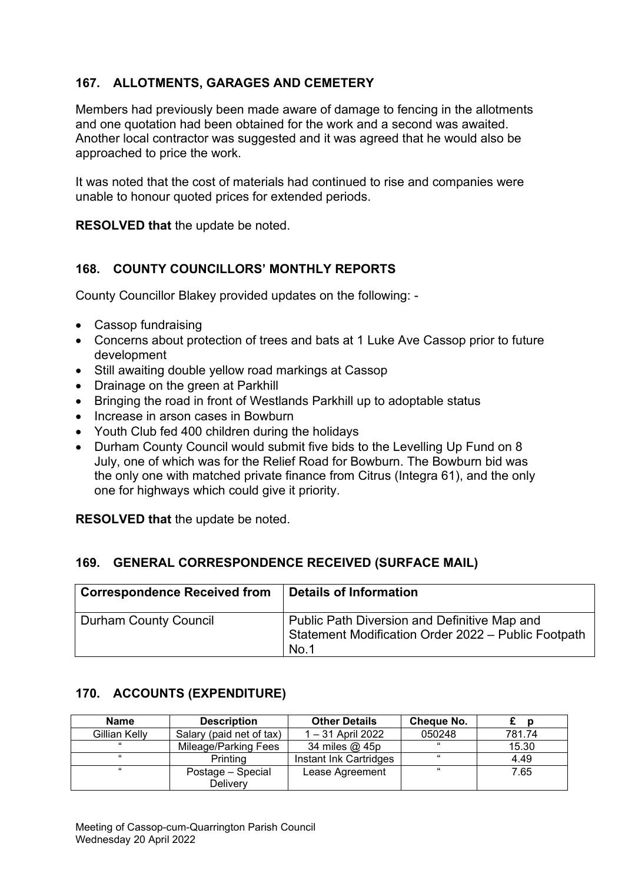# **167. ALLOTMENTS, GARAGES AND CEMETERY**

Members had previously been made aware of damage to fencing in the allotments and one quotation had been obtained for the work and a second was awaited. Another local contractor was suggested and it was agreed that he would also be approached to price the work.

It was noted that the cost of materials had continued to rise and companies were unable to honour quoted prices for extended periods.

**RESOLVED that** the update be noted.

### **168. COUNTY COUNCILLORS' MONTHLY REPORTS**

County Councillor Blakey provided updates on the following: -

- Cassop fundraising
- Concerns about protection of trees and bats at 1 Luke Ave Cassop prior to future development
- Still awaiting double yellow road markings at Cassop
- Drainage on the green at Parkhill
- Bringing the road in front of Westlands Parkhill up to adoptable status
- Increase in arson cases in Bowburn
- Youth Club fed 400 children during the holidays
- Durham County Council would submit five bids to the Levelling Up Fund on 8 July, one of which was for the Relief Road for Bowburn. The Bowburn bid was the only one with matched private finance from Citrus (Integra 61), and the only one for highways which could give it priority.

**RESOLVED that** the update be noted.

## **169. GENERAL CORRESPONDENCE RECEIVED (SURFACE MAIL)**

| <b>Correspondence Received from</b> | <b>Details of Information</b>                                                                               |
|-------------------------------------|-------------------------------------------------------------------------------------------------------------|
| <b>Durham County Council</b>        | Public Path Diversion and Definitive Map and<br>Statement Modification Order 2022 - Public Footpath<br>No.1 |

## **170. ACCOUNTS (EXPENDITURE)**

| Name          | <b>Description</b>       | <b>Other Details</b>   | Cheque No. |        |
|---------------|--------------------------|------------------------|------------|--------|
| Gillian Kelly | Salary (paid net of tax) | 1 – 31 April 2022      | 050248     | 781.74 |
| 66            | Mileage/Parking Fees     | 34 miles @ 45p         | $\epsilon$ | 15.30  |
| "             | Printina                 | Instant Ink Cartridges | "          | 4.49   |
| "             | Postage - Special        | Lease Agreement        | "          | 7.65   |
|               | <b>Delivery</b>          |                        |            |        |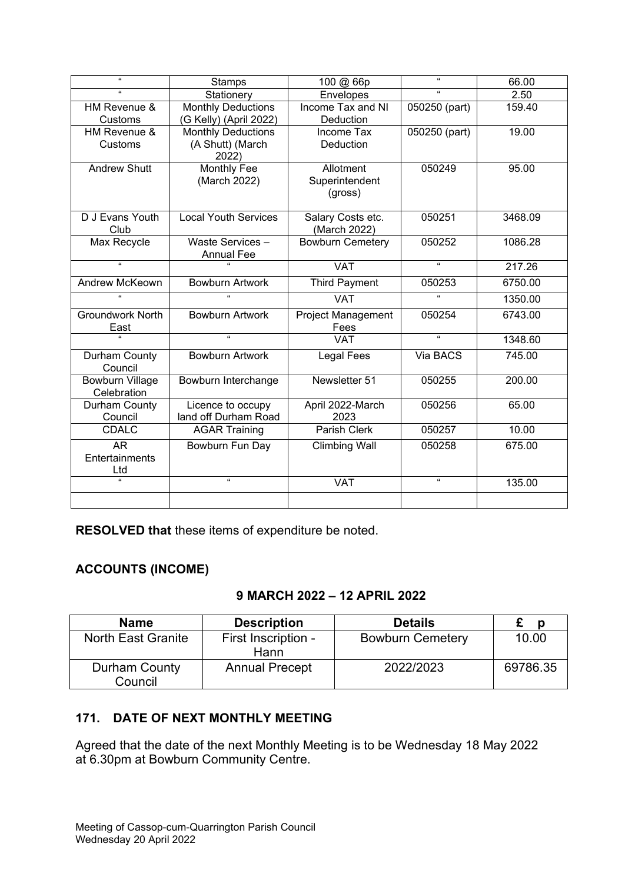| £                        | <b>Stamps</b>                                  | 100 @ 66p                | $\Omega$             | 66.00   |
|--------------------------|------------------------------------------------|--------------------------|----------------------|---------|
| $\alpha$                 | Stationery                                     | Envelopes                |                      | 2.50    |
| HM Revenue &             | Income Tax and NI<br><b>Monthly Deductions</b> |                          | 050250 (part)        | 159.40  |
| Customs                  | (G Kelly) (April 2022)                         | Deduction                |                      |         |
| HM Revenue &             | <b>Monthly Deductions</b>                      | Income Tax               | 050250 (part)        | 19.00   |
| Customs                  | (A Shutt) (March<br>Deduction<br>2022)         |                          |                      |         |
| <b>Andrew Shutt</b>      | <b>Monthly Fee</b>                             | Allotment                | 050249               | 95.00   |
|                          | (March 2022)                                   | Superintendent           |                      |         |
|                          |                                                | (gross)                  |                      |         |
| D J Evans Youth          | <b>Local Youth Services</b>                    | Salary Costs etc.        | 050251               | 3468.09 |
| Club                     |                                                | (March 2022)             |                      |         |
| Max Recycle              | Waste Services -                               | <b>Bowburn Cemetery</b>  | 050252               | 1086.28 |
|                          | <b>Annual Fee</b>                              |                          |                      |         |
| $\alpha$                 |                                                | <b>VAT</b>               | $\pmb{\mathfrak{c}}$ | 217.26  |
| Andrew McKeown           | <b>Bowburn Artwork</b>                         | <b>Third Payment</b>     | 050253               | 6750.00 |
| a.                       | π                                              | <b>VAT</b>               | π                    | 1350.00 |
| <b>Groundwork North</b>  | <b>Bowburn Artwork</b>                         | Project Management       | 050254               | 6743.00 |
| East                     |                                                | Fees                     |                      |         |
|                          | $\overline{u}$                                 | <b>VAT</b>               | $\overline{a}$       | 1348.60 |
| Durham County            | <b>Bowburn Artwork</b>                         | <b>Legal Fees</b>        | Via BACS             | 745.00  |
| Council                  |                                                |                          |                      |         |
| <b>Bowburn Village</b>   | Bowburn Interchange                            | Newsletter 51            | 050255               | 200.00  |
| Celebration              |                                                |                          |                      |         |
| Durham County<br>Council | Licence to occupy<br>land off Durham Road      | April 2022-March<br>2023 | 050256               | 65.00   |
| <b>CDALC</b>             | <b>AGAR Training</b>                           | Parish Clerk             | 050257               | 10.00   |
|                          |                                                |                          |                      |         |
| <b>AR</b>                | Bowburn Fun Day                                | <b>Climbing Wall</b>     | 050258               | 675.00  |
| Entertainments           |                                                |                          |                      |         |
| Ltd<br>$\overline{a}$    | $\overline{a}$                                 | <b>VAT</b>               | $\overline{a}$       | 135.00  |
|                          |                                                |                          |                      |         |
|                          |                                                |                          |                      |         |

**RESOLVED that** these items of expenditure be noted.

# **ACCOUNTS (INCOME)**

## **9 MARCH 2022 – 12 APRIL 2022**

| <b>Name</b>               | <b>Description</b>          | <b>Details</b>          |          |
|---------------------------|-----------------------------|-------------------------|----------|
| <b>North East Granite</b> | First Inscription -<br>Hann | <b>Bowburn Cemetery</b> | 10.00    |
| Durham County<br>Council  | <b>Annual Precept</b>       | 2022/2023               | 69786.35 |

# **171. DATE OF NEXT MONTHLY MEETING**

Agreed that the date of the next Monthly Meeting is to be Wednesday 18 May 2022 at 6.30pm at Bowburn Community Centre.